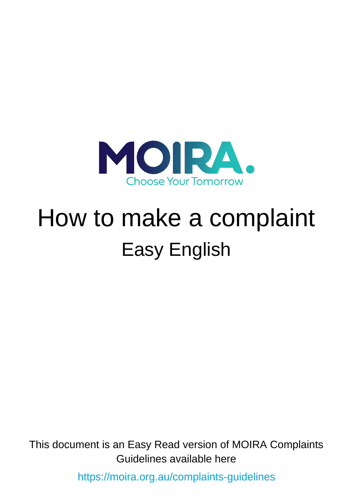

# How to make a complaint Easy English

This document is an Easy Read version of MOIRA Complaints Guidelines available here

<https://moira.org.au/complaints-guidelines>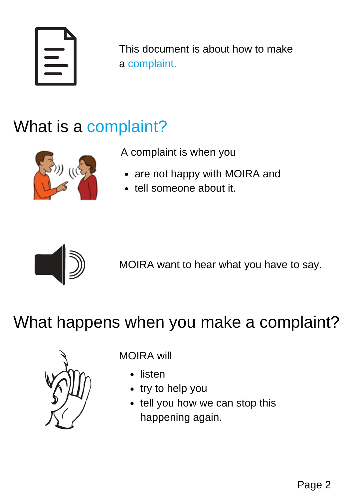This document is about how to make a complaint.

## What is a complaint?



A complaint is when you

- are not happy with MOIRA and
- tell someone about it.



MOIRA want to hear what you have to say.

#### What happens when you make a complaint?



MOIRA will

- listen
- try to help you
- tell you how we can stop this happening again.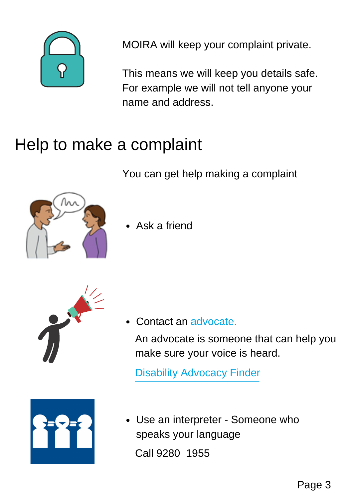

MOIRA will keep your complaint private.

This means we will keep you details safe. For example we will not tell anyone your name and address.

#### Help to make a complaint

You can get help making a complaint



• Ask a friend



Contact an advocate.

An advocate is someone that can help you make sure your voice is heard.

Disability [Advocacy](https://disabilityadvocacyfinder.dss.gov.au/disability/ndap/) Finder



Use an interpreter - Someone who speaks your language Call 9280 1955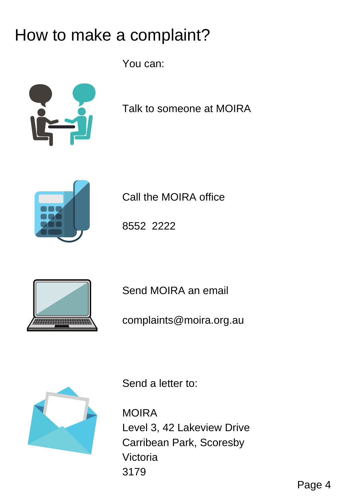### How to make a complaint?

You can:



Talk to someone at MOIRA



Call the MOIRA office

8552 2222



Send MOIRA an email

complaints@moira.org.au



Send a letter to:

MOIRA Level 3, 42 Lakeview Drive Carribean Park, Scoresby Victoria 3179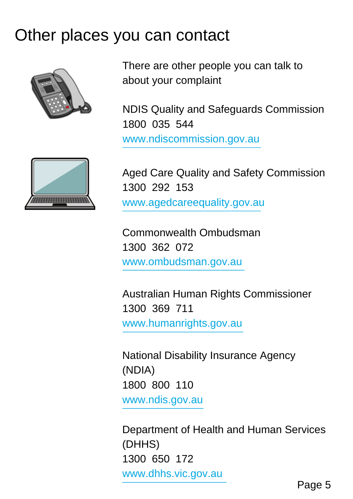#### Other places you can contact



There are other people you can talk to about your complaint

NDIS Quality and Safeguards Commission 1800 035 544 [www.ndiscommission.gov.au](https://www.ndiscommission.gov.au/about/complaints-feedback/contact)



Aged Care Quality and Safety Commission 1300 292 153 [www.agedcareequality.gov.au](https://www.agedcarequality.gov.au/making-complaint/lodge-complaint)

Commonwealth Ombudsman 1300 362 072 [www.ombudsman.gov.au](http://www.ombudsman.gov.au/)

Australian Human Rights Commissioner 1300 369 711 [www.humanrights.gov.au](https://www.humanrights.gov.au/complaints/make-complaint)

National Disability Insurance Agency (NDIA) 1800 800 110 [www.ndis.gov.au](https://www.ndis.gov.au/contact/feedback-and-complaints/contact-and-feedback-form)

Department of Health and Human Services (DHHS) 1300 650 172 [www.dhhs.vic.gov.au](https://dhhs.vic.gov.au/contact-us)